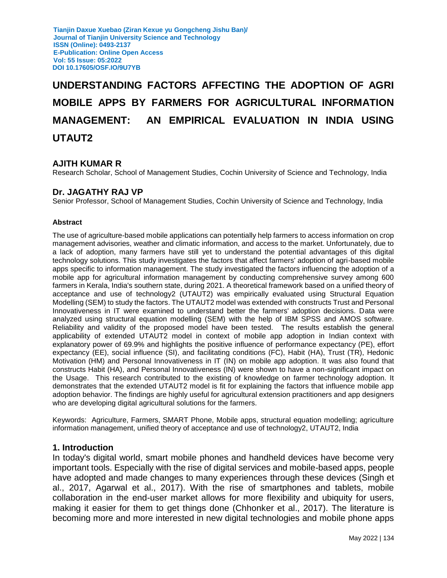# **UNDERSTANDING FACTORS AFFECTING THE ADOPTION OF AGRI MOBILE APPS BY FARMERS FOR AGRICULTURAL INFORMATION MANAGEMENT: AN EMPIRICAL EVALUATION IN INDIA USING UTAUT2**

### **AJITH KUMAR R**

Research Scholar, School of Management Studies, Cochin University of Science and Technology, India

#### **Dr. JAGATHY RAJ VP**

Senior Professor, School of Management Studies, Cochin University of Science and Technology, India

#### **Abstract**

The use of agriculture-based mobile applications can potentially help farmers to access information on crop management advisories, weather and climatic information, and access to the market. Unfortunately, due to a lack of adoption, many farmers have still yet to understand the potential advantages of this digital technology solutions. This study investigates the factors that affect farmers' adoption of agri-based mobile apps specific to information management. The study investigated the factors influencing the adoption of a mobile app for agricultural information management by conducting comprehensive survey among 600 farmers in Kerala, India's southern state, during 2021. A theoretical framework based on a unified theory of acceptance and use of technology2 (UTAUT2) was empirically evaluated using Structural Equation Modelling (SEM) to study the factors. The UTAUT2 model was extended with constructs Trust and Personal Innovativeness in IT were examined to understand better the farmers' adoption decisions. Data were analyzed using structural equation modelling (SEM) with the help of IBM SPSS and AMOS software. Reliability and validity of the proposed model have been tested. The results establish the general applicability of extended UTAUT2 model in context of mobile app adoption in Indian context with explanatory power of 69.9% and highlights the positive influence of performance expectancy (PE), effort expectancy (EE), social influence (SI), and facilitating conditions (FC), Habit (HA), Trust (TR), Hedonic Motivation (HM) and Personal Innovativeness in IT (IN) on mobile app adoption. It was also found that constructs Habit (HA), and Personal Innovativeness (IN) were shown to have a non-significant impact on the Usage. This research contributed to the existing of knowledge on farmer technology adoption. It demonstrates that the extended UTAUT2 model is fit for explaining the factors that influence mobile app adoption behavior. The findings are highly useful for agricultural extension practitioners and app designers who are developing digital agricultural solutions for the farmers.

Keywords: Agriculture, Farmers, SMART Phone, Mobile apps, structural equation modelling; agriculture information management, unified theory of acceptance and use of technology2, UTAUT2, India

#### **1. Introduction**

In today's digital world, smart mobile phones and handheld devices have become very important tools. Especially with the rise of digital services and mobile-based apps, people have adopted and made changes to many experiences through these devices (Singh et al., 2017, Agarwal et al., 2017). With the rise of smartphones and tablets, mobile collaboration in the end-user market allows for more flexibility and ubiquity for users, making it easier for them to get things done (Chhonker et al., 2017). The literature is becoming more and more interested in new digital technologies and mobile phone apps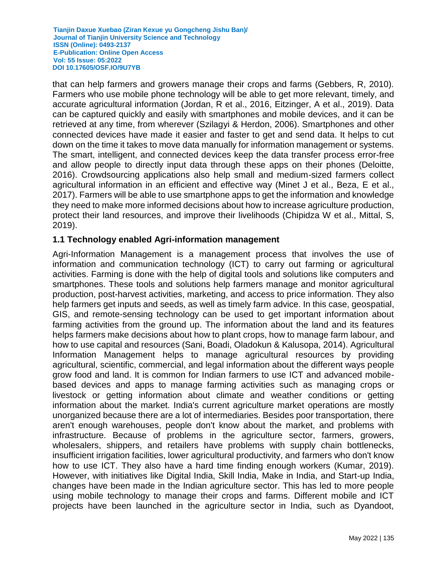that can help farmers and growers manage their crops and farms (Gebbers, R, 2010). Farmers who use mobile phone technology will be able to get more relevant, timely, and accurate agricultural information (Jordan, R et al., 2016, Eitzinger, A et al., 2019). Data can be captured quickly and easily with smartphones and mobile devices, and it can be retrieved at any time, from wherever (Szilagyi & Herdon, 2006). Smartphones and other connected devices have made it easier and faster to get and send data. It helps to cut down on the time it takes to move data manually for information management or systems. The smart, intelligent, and connected devices keep the data transfer process error-free and allow people to directly input data through these apps on their phones (Deloitte, 2016). Crowdsourcing applications also help small and medium-sized farmers collect agricultural information in an efficient and effective way (Minet J et al., Beza, E et al., 2017). Farmers will be able to use smartphone apps to get the information and knowledge they need to make more informed decisions about how to increase agriculture production, protect their land resources, and improve their livelihoods (Chipidza W et al., Mittal, S, 2019).

## **1.1 Technology enabled Agri-information management**

Agri-Information Management is a management process that involves the use of information and communication technology (ICT) to carry out farming or agricultural activities. Farming is done with the help of digital tools and solutions like computers and smartphones. These tools and solutions help farmers manage and monitor agricultural production, post-harvest activities, marketing, and access to price information. They also help farmers get inputs and seeds, as well as timely farm advice. In this case, geospatial, GIS, and remote-sensing technology can be used to get important information about farming activities from the ground up. The information about the land and its features helps farmers make decisions about how to plant crops, how to manage farm labour, and how to use capital and resources (Sani, Boadi, Oladokun & Kalusopa, 2014). Agricultural Information Management helps to manage agricultural resources by providing agricultural, scientific, commercial, and legal information about the different ways people grow food and land. It is common for Indian farmers to use ICT and advanced mobilebased devices and apps to manage farming activities such as managing crops or livestock or getting information about climate and weather conditions or getting information about the market. India's current agriculture market operations are mostly unorganized because there are a lot of intermediaries. Besides poor transportation, there aren't enough warehouses, people don't know about the market, and problems with infrastructure. Because of problems in the agriculture sector, farmers, growers, wholesalers, shippers, and retailers have problems with supply chain bottlenecks, insufficient irrigation facilities, lower agricultural productivity, and farmers who don't know how to use ICT. They also have a hard time finding enough workers (Kumar, 2019). However, with initiatives like Digital India, Skill India, Make in India, and Start-up India, changes have been made in the Indian agriculture sector. This has led to more people using mobile technology to manage their crops and farms. Different mobile and ICT projects have been launched in the agriculture sector in India, such as Dyandoot,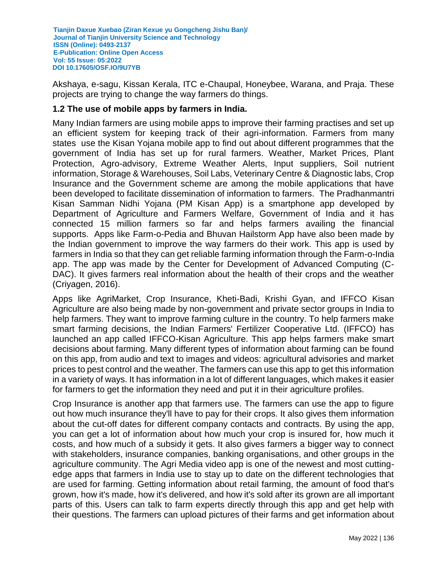Akshaya, e-sagu, Kissan Kerala, ITC e-Chaupal, Honeybee, Warana, and Praja. These projects are trying to change the way farmers do things.

## **1.2 The use of mobile apps by farmers in India.**

Many Indian farmers are using mobile apps to improve their farming practises and set up an efficient system for keeping track of their agri-information. Farmers from many states use the Kisan Yojana mobile app to find out about different programmes that the government of India has set up for rural farmers. Weather, Market Prices, Plant Protection, Agro-advisory, Extreme Weather Alerts, Input suppliers, Soil nutrient information, Storage & Warehouses, Soil Labs, Veterinary Centre & Diagnostic labs, Crop Insurance and the Government scheme are among the mobile applications that have been developed to facilitate dissemination of information to farmers. The Pradhanmantri Kisan Samman Nidhi Yojana (PM Kisan App) is a smartphone app developed by Department of Agriculture and Farmers Welfare, Government of India and it has connected 15 million farmers so far and helps farmers availing the financial supports. Apps like Farm-o-Pedia and Bhuvan Hailstorm App have also been made by the Indian government to improve the way farmers do their work. This app is used by farmers in India so that they can get reliable farming information through the Farm-o-India app. The app was made by the Center for Development of Advanced Computing (C-DAC). It gives farmers real information about the health of their crops and the weather (Criyagen, 2016).

Apps like AgriMarket, Crop Insurance, Kheti-Badi, Krishi Gyan, and IFFCO Kisan Agriculture are also being made by non-government and private sector groups in India to help farmers. They want to improve farming culture in the country. To help farmers make smart farming decisions, the Indian Farmers' Fertilizer Cooperative Ltd. (IFFCO) has launched an app called IFFCO-Kisan Agriculture. This app helps farmers make smart decisions about farming. Many different types of information about farming can be found on this app, from audio and text to images and videos: agricultural advisories and market prices to pest control and the weather. The farmers can use this app to get this information in a variety of ways. It has information in a lot of different languages, which makes it easier for farmers to get the information they need and put it in their agriculture profiles.

Crop Insurance is another app that farmers use. The farmers can use the app to figure out how much insurance they'll have to pay for their crops. It also gives them information about the cut-off dates for different company contacts and contracts. By using the app, you can get a lot of information about how much your crop is insured for, how much it costs, and how much of a subsidy it gets. It also gives farmers a bigger way to connect with stakeholders, insurance companies, banking organisations, and other groups in the agriculture community. The Agri Media video app is one of the newest and most cuttingedge apps that farmers in India use to stay up to date on the different technologies that are used for farming. Getting information about retail farming, the amount of food that's grown, how it's made, how it's delivered, and how it's sold after its grown are all important parts of this. Users can talk to farm experts directly through this app and get help with their questions. The farmers can upload pictures of their farms and get information about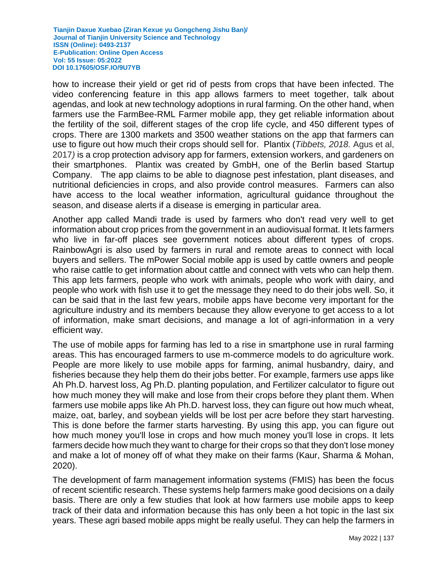how to increase their yield or get rid of pests from crops that have been infected. The video conferencing feature in this app allows farmers to meet together, talk about agendas, and look at new technology adoptions in rural farming. On the other hand, when farmers use the FarmBee-RML Farmer mobile app, they get reliable information about the fertility of the soil, different stages of the crop life cycle, and 450 different types of crops. There are 1300 markets and 3500 weather stations on the app that farmers can use to figure out how much their crops should sell for. Plantix (*Tibbets, 2018.* Agus et al, 2017*)* is a crop protection advisory app for farmers, extension workers, and gardeners on their smartphones. Plantix was created by GmbH, one of the Berlin based Startup Company. The app claims to be able to diagnose pest infestation, plant diseases, and nutritional deficiencies in crops, and also provide control measures. Farmers can also have access to the local weather information, agricultural guidance throughout the season, and disease alerts if a disease is emerging in particular area.

Another app called Mandi trade is used by farmers who don't read very well to get information about crop prices from the government in an audiovisual format. It lets farmers who live in far-off places see government notices about different types of crops. RainbowAgri is also used by farmers in rural and remote areas to connect with local buyers and sellers. The mPower Social mobile app is used by cattle owners and people who raise cattle to get information about cattle and connect with vets who can help them. This app lets farmers, people who work with animals, people who work with dairy, and people who work with fish use it to get the message they need to do their jobs well. So, it can be said that in the last few years, mobile apps have become very important for the agriculture industry and its members because they allow everyone to get access to a lot of information, make smart decisions, and manage a lot of agri-information in a very efficient way.

The use of mobile apps for farming has led to a rise in smartphone use in rural farming areas. This has encouraged farmers to use m-commerce models to do agriculture work. People are more likely to use mobile apps for farming, animal husbandry, dairy, and fisheries because they help them do their jobs better. For example, farmers use apps like Ah Ph.D. harvest loss, Ag Ph.D. planting population, and Fertilizer calculator to figure out how much money they will make and lose from their crops before they plant them. When farmers use mobile apps like Ah Ph.D. harvest loss, they can figure out how much wheat, maize, oat, barley, and soybean yields will be lost per acre before they start harvesting. This is done before the farmer starts harvesting. By using this app, you can figure out how much money you'll lose in crops and how much money you'll lose in crops. It lets farmers decide how much they want to charge for their crops so that they don't lose money and make a lot of money off of what they make on their farms (Kaur, Sharma & Mohan, 2020).

The development of farm management information systems (FMIS) has been the focus of recent scientific research. These systems help farmers make good decisions on a daily basis. There are only a few studies that look at how farmers use mobile apps to keep track of their data and information because this has only been a hot topic in the last six years. These agri based mobile apps might be really useful. They can help the farmers in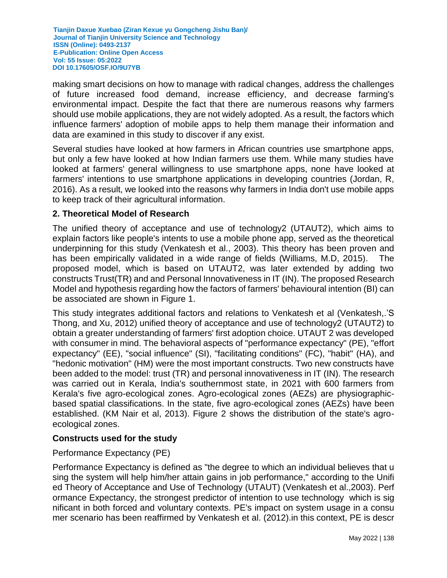making smart decisions on how to manage with radical changes, address the challenges of future increased food demand, increase efficiency, and decrease farming's environmental impact. Despite the fact that there are numerous reasons why farmers should use mobile applications, they are not widely adopted. As a result, the factors which influence farmers' adoption of mobile apps to help them manage their information and data are examined in this study to discover if any exist.

Several studies have looked at how farmers in African countries use smartphone apps, but only a few have looked at how Indian farmers use them. While many studies have looked at farmers' general willingness to use smartphone apps, none have looked at farmers' intentions to use smartphone applications in developing countries (Jordan, R, 2016). As a result, we looked into the reasons why farmers in India don't use mobile apps to keep track of their agricultural information.

## **2. Theoretical Model of Research**

The unified theory of acceptance and use of technology2 (UTAUT2), which aims to explain factors like people's intents to use a mobile phone app, served as the theoretical underpinning for this study (Venkatesh et al., 2003). This theory has been proven and has been empirically validated in a wide range of fields (Williams, M.D, 2015). The proposed model, which is based on UTAUT2, was later extended by adding two constructs Trust(TR) and and Personal Innovativeness in IT (IN). The proposed Research Model and hypothesis regarding how the factors of farmers' behavioural intention (BI) can be associated are shown in Figure 1.

This study integrates additional factors and relations to Venkatesh et al (Venkatesh,.'S Thong, and Xu, 2012) unified theory of acceptance and use of technology2 (UTAUT2) to obtain a greater understanding of farmers' first adoption choice. UTAUT 2 was developed with consumer in mind. The behavioral aspects of "performance expectancy" (PE), "effort expectancy" (EE), "social influence" (SI), "facilitating conditions" (FC), "habit" (HA), and "hedonic motivation" (HM) were the most important constructs. Two new constructs have been added to the model: trust (TR) and personal innovativeness in IT (IN). The research was carried out in Kerala, India's southernmost state, in 2021 with 600 farmers from Kerala's five agro-ecological zones. Agro-ecological zones (AEZs) are physiographicbased spatial classifications. In the state, five agro-ecological zones (AEZs) have been established. (KM Nair et al, 2013). Figure 2 shows the distribution of the state's agroecological zones.

## **Constructs used for the study**

### Performance Expectancy (PE)

Performance Expectancy is defined as "the degree to which an individual believes that u sing the system will help him/her attain gains in job performance," according to the Unifi ed Theory of Acceptance and Use of Technology (UTAUT) (Venkatesh et al.,2003). Perf ormance Expectancy, the strongest predictor of intention to use technology which is sig nificant in both forced and voluntary contexts. PE's impact on system usage in a consu mer scenario has been reaffirmed by Venkatesh et al. (2012).in this context, PE is descr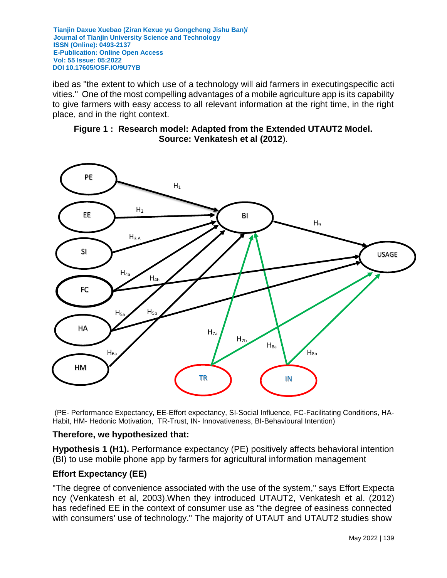ibed as "the extent to which use of a technology will aid farmers in executingspecific acti vities." One of the most compelling advantages of a mobile agriculture app is its capability to give farmers with easy access to all relevant information at the right time, in the right place, and in the right context.





(PE- Performance Expectancy, EE-Effort expectancy, SI-Social Influence, FC-Facilitating Conditions, HA-Habit, HM- Hedonic Motivation, TR-Trust, IN- Innovativeness, BI-Behavioural Intention)

### **Therefore, we hypothesized that:**

**Hypothesis 1 (H1).** Performance expectancy (PE) positively affects behavioral intention (BI) to use mobile phone app by farmers for agricultural information management

## **Effort Expectancy (EE)**

"The degree of convenience associated with the use of the system," says Effort Expecta ncy (Venkatesh et al, 2003).When they introduced UTAUT2, Venkatesh et al. (2012) has redefined EE in the context of consumer use as "the degree of easiness connected with consumers' use of technology." The majority of UTAUT and UTAUT2 studies show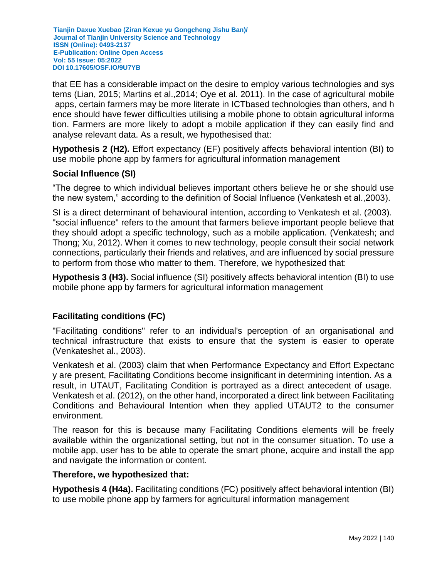that EE has a considerable impact on the desire to employ various technologies and sys tems (Lian, 2015; Martins et al.,2014; Oye et al. 2011). In the case of agricultural mobile apps, certain farmers may be more literate in ICTbased technologies than others, and h ence should have fewer difficulties utilising a mobile phone to obtain agricultural informa tion. Farmers are more likely to adopt a mobile application if they can easily find and analyse relevant data. As a result, we hypothesised that:

**Hypothesis 2 (H2).** Effort expectancy (EF) positively affects behavioral intention (BI) to use mobile phone app by farmers for agricultural information management

## **Social Influence (SI)**

"The degree to which individual believes important others believe he or she should use the new system," according to the definition of Social Influence (Venkatesh et al.,2003).

SI is a direct determinant of behavioural intention, according to Venkatesh et al. (2003). "social influence" refers to the amount that farmers believe important people believe that they should adopt a specific technology, such as a mobile application. (Venkatesh; and Thong; Xu, 2012). When it comes to new technology, people consult their social network connections, particularly their friends and relatives, and are influenced by social pressure to perform from those who matter to them. Therefore, we hypothesized that:

**Hypothesis 3 (H3).** Social influence (SI) positively affects behavioral intention (BI) to use mobile phone app by farmers for agricultural information management

## **Facilitating conditions (FC)**

"Facilitating conditions" refer to an individual's perception of an organisational and technical infrastructure that exists to ensure that the system is easier to operate (Venkateshet al., 2003).

Venkatesh et al. (2003) claim that when Performance Expectancy and Effort Expectanc y are present, Facilitating Conditions become insignificant in determining intention. As a result, in UTAUT, Facilitating Condition is portrayed as a direct antecedent of usage. Venkatesh et al. (2012), on the other hand, incorporated a direct link between Facilitating Conditions and Behavioural Intention when they applied UTAUT2 to the consumer environment.

The reason for this is because many Facilitating Conditions elements will be freely available within the organizational setting, but not in the consumer situation. To use a mobile app, user has to be able to operate the smart phone, acquire and install the app and navigate the information or content.

#### **Therefore, we hypothesized that:**

**Hypothesis 4 (H4a).** Facilitating conditions (FC) positively affect behavioral intention (BI) to use mobile phone app by farmers for agricultural information management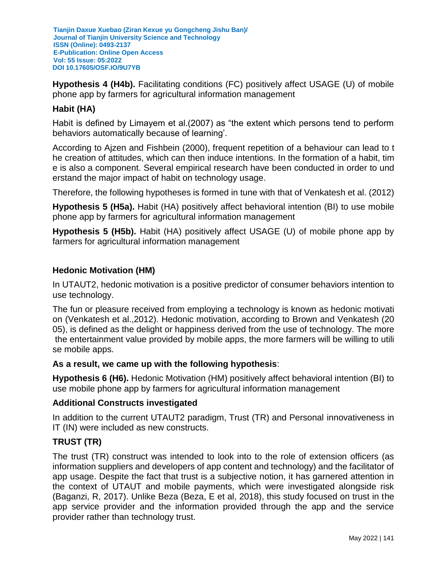**Hypothesis 4 (H4b).** Facilitating conditions (FC) positively affect USAGE (U) of mobile phone app by farmers for agricultural information management

## **Habit (HA)**

Habit is defined by Limayem et al.(2007) as "the extent which persons tend to perform behaviors automatically because of learning'.

According to Ajzen and Fishbein (2000), frequent repetition of a behaviour can lead to t he creation of attitudes, which can then induce intentions. In the formation of a habit, tim e is also a component. Several empirical research have been conducted in order to und erstand the major impact of habit on technology usage.

Therefore, the following hypotheses is formed in tune with that of Venkatesh et al. (2012)

**Hypothesis 5 (H5a).** Habit (HA) positively affect behavioral intention (BI) to use mobile phone app by farmers for agricultural information management

**Hypothesis 5 (H5b).** Habit (HA) positively affect USAGE (U) of mobile phone app by farmers for agricultural information management

## **Hedonic Motivation (HM)**

In UTAUT2, hedonic motivation is a positive predictor of consumer behaviors intention to use technology.

The fun or pleasure received from employing a technology is known as hedonic motivati on (Venkatesh et al.,2012). Hedonic motivation, according to Brown and Venkatesh (20 05), is defined as the delight or happiness derived from the use of technology. The more the entertainment value provided by mobile apps, the more farmers will be willing to utili se mobile apps.

### **As a result, we came up with the following hypothesis**:

**Hypothesis 6 (H6).** Hedonic Motivation (HM) positively affect behavioral intention (BI) to use mobile phone app by farmers for agricultural information management

### **Additional Constructs investigated**

In addition to the current UTAUT2 paradigm, Trust (TR) and Personal innovativeness in IT (IN) were included as new constructs.

## **TRUST (TR)**

The trust (TR) construct was intended to look into to the role of extension officers (as information suppliers and developers of app content and technology) and the facilitator of app usage. Despite the fact that trust is a subjective notion, it has garnered attention in the context of UTAUT and mobile payments, which were investigated alongside risk (Baganzi, R, 2017). Unlike Beza (Beza, E et al, 2018), this study focused on trust in the app service provider and the information provided through the app and the service provider rather than technology trust.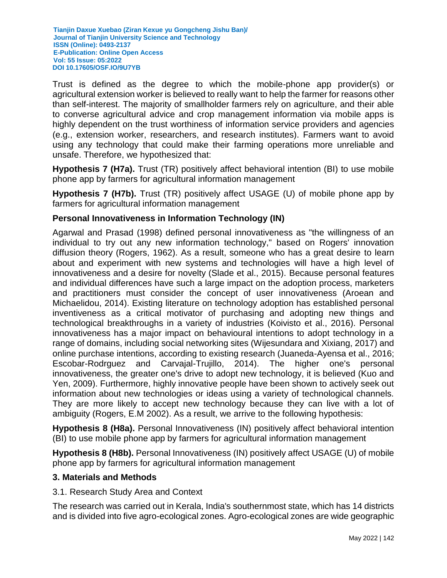Trust is defined as the degree to which the mobile-phone app provider(s) or agricultural extension worker is believed to really want to help the farmer for reasons other than self-interest. The majority of smallholder farmers rely on agriculture, and their able to converse agricultural advice and crop management information via mobile apps is highly dependent on the trust worthiness of information service providers and agencies (e.g., extension worker, researchers, and research institutes). Farmers want to avoid using any technology that could make their farming operations more unreliable and unsafe. Therefore, we hypothesized that:

**Hypothesis 7 (H7a).** Trust (TR) positively affect behavioral intention (BI) to use mobile phone app by farmers for agricultural information management

**Hypothesis 7 (H7b).** Trust (TR) positively affect USAGE (U) of mobile phone app by farmers for agricultural information management

## **Personal Innovativeness in Information Technology (IN)**

Agarwal and Prasad (1998) defined personal innovativeness as "the willingness of an individual to try out any new information technology," based on Rogers' innovation diffusion theory (Rogers, 1962). As a result, someone who has a great desire to learn about and experiment with new systems and technologies will have a high level of innovativeness and a desire for novelty (Slade et al., 2015). Because personal features and individual differences have such a large impact on the adoption process, marketers and practitioners must consider the concept of user innovativeness (Aroean and Michaelidou, 2014). Existing literature on technology adoption has established personal inventiveness as a critical motivator of purchasing and adopting new things and technological breakthroughs in a variety of industries (Koivisto et al., 2016). Personal innovativeness has a major impact on behavioural intentions to adopt technology in a range of domains, including social networking sites (Wijesundara and Xixiang, 2017) and online purchase intentions, according to existing research (Juaneda-Ayensa et al., 2016; Escobar-Rodrguez and Carvajal-Trujillo, 2014). The higher one's personal innovativeness, the greater one's drive to adopt new technology, it is believed (Kuo and Yen, 2009). Furthermore, highly innovative people have been shown to actively seek out information about new technologies or ideas using a variety of technological channels. They are more likely to accept new technology because they can live with a lot of ambiguity (Rogers, E.M 2002). As a result, we arrive to the following hypothesis:

**Hypothesis 8 (H8a).** Personal Innovativeness (IN) positively affect behavioral intention (BI) to use mobile phone app by farmers for agricultural information management

**Hypothesis 8 (H8b).** Personal Innovativeness (IN) positively affect USAGE (U) of mobile phone app by farmers for agricultural information management

### **3. Materials and Methods**

3.1. Research Study Area and Context

The research was carried out in Kerala, India's southernmost state, which has 14 districts and is divided into five agro-ecological zones. Agro-ecological zones are wide geographic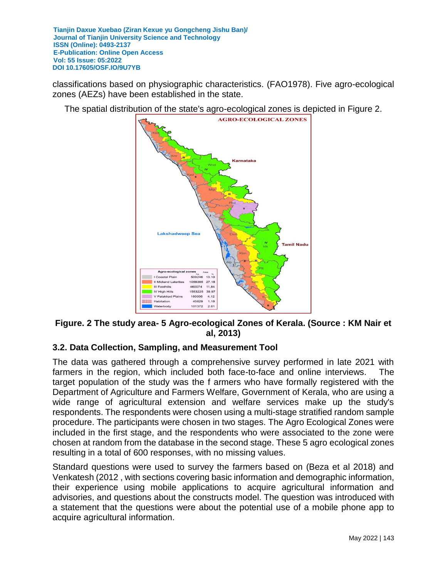classifications based on physiographic characteristics. (FAO1978). Five agro-ecological zones (AEZs) have been established in the state.

The spatial distribution of the state's agro-ecological zones is depicted in Figure 2.



# **Figure. 2 The study area- 5 Agro-ecological Zones of Kerala. (Source : KM Nair et al, 2013)**

# **3.2. Data Collection, Sampling, and Measurement Tool**

The data was gathered through a comprehensive survey performed in late 2021 with farmers in the region, which included both face-to-face and online interviews. The target population of the study was the f armers who have formally registered with the Department of Agriculture and Farmers Welfare, Government of Kerala, who are using a wide range of agricultural extension and welfare services make up the study's respondents. The respondents were chosen using a multi-stage stratified random sample procedure. The participants were chosen in two stages. The Agro Ecological Zones were included in the first stage, and the respondents who were associated to the zone were chosen at random from the database in the second stage. These 5 agro ecological zones resulting in a total of 600 responses, with no missing values.

Standard questions were used to survey the farmers based on (Beza et al 2018) and Venkatesh (2012 , with sections covering basic information and demographic information, their experience using mobile applications to acquire agricultural information and advisories, and questions about the constructs model. The question was introduced with a statement that the questions were about the potential use of a mobile phone app to acquire agricultural information.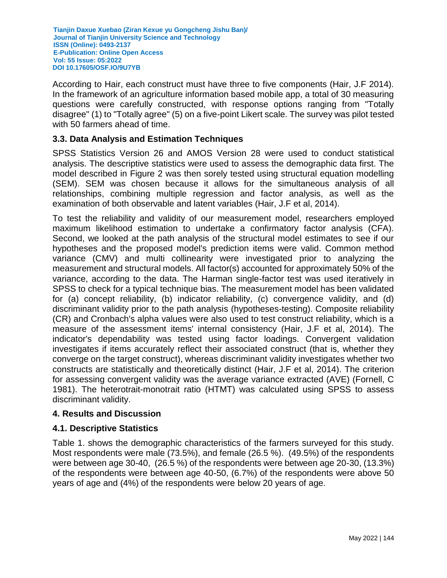According to Hair, each construct must have three to five components (Hair, J.F 2014). In the framework of an agriculture information based mobile app, a total of 30 measuring questions were carefully constructed, with response options ranging from "Totally disagree" (1) to "Totally agree" (5) on a five-point Likert scale. The survey was pilot tested with 50 farmers ahead of time.

## **3.3. Data Analysis and Estimation Techniques**

SPSS Statistics Version 26 and AMOS Version 28 were used to conduct statistical analysis. The descriptive statistics were used to assess the demographic data first. The model described in Figure 2 was then sorely tested using structural equation modelling (SEM). SEM was chosen because it allows for the simultaneous analysis of all relationships, combining multiple regression and factor analysis, as well as the examination of both observable and latent variables (Hair, J.F et al, 2014).

To test the reliability and validity of our measurement model, researchers employed maximum likelihood estimation to undertake a confirmatory factor analysis (CFA). Second, we looked at the path analysis of the structural model estimates to see if our hypotheses and the proposed model's prediction items were valid. Common method variance (CMV) and multi collinearity were investigated prior to analyzing the measurement and structural models. All factor(s) accounted for approximately 50% of the variance, according to the data. The Harman single-factor test was used iteratively in SPSS to check for a typical technique bias. The measurement model has been validated for (a) concept reliability, (b) indicator reliability, (c) convergence validity, and (d) discriminant validity prior to the path analysis (hypotheses-testing). Composite reliability (CR) and Cronbach's alpha values were also used to test construct reliability, which is a measure of the assessment items' internal consistency (Hair, J.F et al, 2014). The indicator's dependability was tested using factor loadings. Convergent validation investigates if items accurately reflect their associated construct (that is, whether they converge on the target construct), whereas discriminant validity investigates whether two constructs are statistically and theoretically distinct (Hair, J.F et al, 2014). The criterion for assessing convergent validity was the average variance extracted (AVE) (Fornell, C 1981). The heterotrait-monotrait ratio (HTMT) was calculated using SPSS to assess discriminant validity.

## **4. Results and Discussion**

## **4.1. Descriptive Statistics**

Table 1. shows the demographic characteristics of the farmers surveyed for this study. Most respondents were male (73.5%), and female (26.5 %). (49.5%) of the respondents were between age 30-40, (26.5 %) of the respondents were between age 20-30, (13.3%) of the respondents were between age 40-50, (6.7%) of the respondents were above 50 years of age and (4%) of the respondents were below 20 years of age.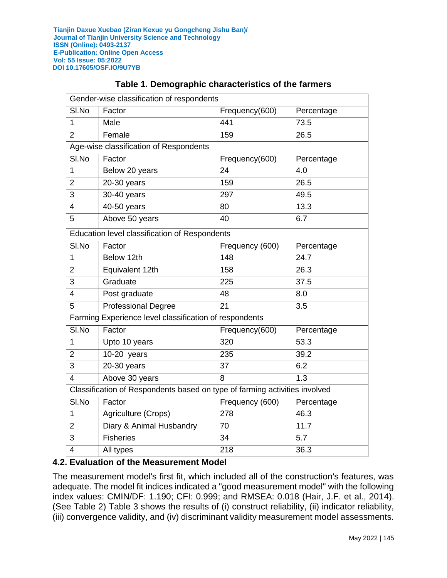| Gender-wise classification of respondents                                  |                                                        |                               |                  |  |  |  |  |  |
|----------------------------------------------------------------------------|--------------------------------------------------------|-------------------------------|------------------|--|--|--|--|--|
| SI.No                                                                      | Factor                                                 | Frequency(600)                | Percentage       |  |  |  |  |  |
| 1                                                                          | Male                                                   | 441                           | 73.5             |  |  |  |  |  |
| $\overline{2}$                                                             | Female                                                 | 159                           | 26.5             |  |  |  |  |  |
|                                                                            | Age-wise classification of Respondents                 |                               |                  |  |  |  |  |  |
| SI.No                                                                      | Factor                                                 | Frequency(600)                | Percentage       |  |  |  |  |  |
| 1                                                                          | Below 20 years                                         | 24                            | 4.0              |  |  |  |  |  |
| $\overline{2}$                                                             | 20-30 years                                            | 159                           | 26.5             |  |  |  |  |  |
| 3                                                                          | 30-40 years                                            | 297                           | 49.5             |  |  |  |  |  |
| 4                                                                          | 40-50 years                                            | 80                            | 13.3             |  |  |  |  |  |
| 5                                                                          | Above 50 years                                         | 40                            | 6.7              |  |  |  |  |  |
|                                                                            | Education level classification of Respondents          |                               |                  |  |  |  |  |  |
| SI.No                                                                      | Factor                                                 | Frequency (600)               | Percentage       |  |  |  |  |  |
| 1                                                                          | Below 12th                                             | 148                           | 24.7             |  |  |  |  |  |
| $\overline{2}$                                                             | Equivalent 12th                                        | 158                           | 26.3             |  |  |  |  |  |
| 3                                                                          | Graduate                                               | 225                           | 37.5             |  |  |  |  |  |
| 4                                                                          | Post graduate                                          | 48                            | 8.0              |  |  |  |  |  |
| 5                                                                          | <b>Professional Degree</b>                             | $\overline{21}$               | $\overline{3.5}$ |  |  |  |  |  |
|                                                                            | Farming Experience level classification of respondents |                               |                  |  |  |  |  |  |
| SI.No                                                                      | $\overline{Factor}$                                    | Frequency(600)                | Percentage       |  |  |  |  |  |
| 1                                                                          | Upto 10 years                                          | 320                           | 53.3             |  |  |  |  |  |
| $\overline{2}$                                                             | 10-20 years                                            | 235                           | 39.2             |  |  |  |  |  |
| 3                                                                          | 20-30 years                                            | 37<br>6.2                     |                  |  |  |  |  |  |
| 4                                                                          | Above 30 years<br>8                                    |                               | 1.3              |  |  |  |  |  |
| Classification of Respondents based on type of farming activities involved |                                                        |                               |                  |  |  |  |  |  |
| SI.No                                                                      | Factor                                                 | Frequency (600)<br>Percentage |                  |  |  |  |  |  |
| 1                                                                          | Agriculture (Crops)                                    | 46.3<br>278                   |                  |  |  |  |  |  |
| $\overline{2}$                                                             | Diary & Animal Husbandry                               | 70                            | 11.7             |  |  |  |  |  |
| 3                                                                          | <b>Fisheries</b>                                       | 34                            | 5.7              |  |  |  |  |  |
| 4                                                                          | All types                                              | 218<br>36.3                   |                  |  |  |  |  |  |

# **Table 1. Demographic characteristics of the farmers**

## **4.2. Evaluation of the Measurement Model**

The measurement model's first fit, which included all of the construction's features, was adequate. The model fit indices indicated a "good measurement model" with the following index values: CMIN/DF: 1.190; CFI: 0.999; and RMSEA: 0.018 (Hair, J.F. et al., 2014). (See Table 2) Table 3 shows the results of (i) construct reliability, (ii) indicator reliability, (iii) convergence validity, and (iv) discriminant validity measurement model assessments.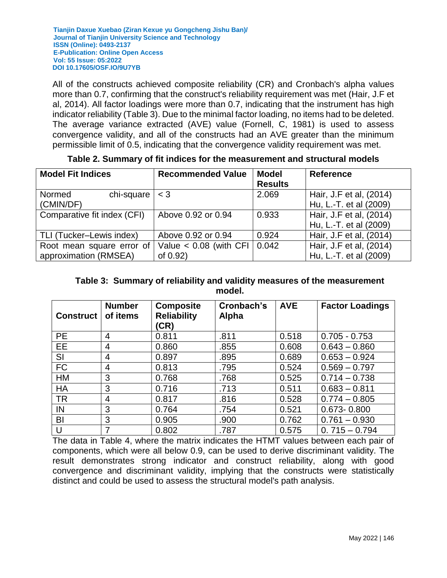All of the constructs achieved composite reliability (CR) and Cronbach's alpha values more than 0.7, confirming that the construct's reliability requirement was met (Hair, J.F et al, 2014). All factor loadings were more than 0.7, indicating that the instrument has high indicator reliability (Table 3). Due to the minimal factor loading, no items had to be deleted. The average variance extracted (AVE) value (Fornell, C, 1981) is used to assess convergence validity, and all of the constructs had an AVE greater than the minimum permissible limit of 0.5, indicating that the convergence validity requirement was met.

| <b>Model Fit Indices</b>                           | <b>Recommended Value</b>                 | <b>Model</b><br><b>Results</b> | <b>Reference</b>                                  |  |  |
|----------------------------------------------------|------------------------------------------|--------------------------------|---------------------------------------------------|--|--|
| Normed<br>chi-square<br>(CMIN/DF)                  | $<$ 3                                    | 2.069                          | Hair, J.F et al, (2014)<br>Hu, L.-T. et al (2009) |  |  |
| Comparative fit index (CFI)                        | Above 0.92 or 0.94                       | 0.933                          | Hair, J.F et al, (2014)<br>Hu, L.-T. et al (2009) |  |  |
| TLI (Tucker-Lewis index)                           | Above 0.92 or 0.94                       | 0.924                          | Hair, J.F et al, (2014)                           |  |  |
| Root mean square error of<br>approximation (RMSEA) | Value $< 0.08$ (with CFI)<br>of $0.92$ ) | 0.042                          | Hair, J.F et al, (2014)<br>Hu, L.-T. et al (2009) |  |  |

**Table 2. Summary of fit indices for the measurement and structural models**

## **Table 3: Summary of reliability and validity measures of the measurement model.**

| <b>Construct</b> | <b>Number</b><br>of items | <b>Composite</b><br><b>Reliability</b><br>(CR) | Cronbach's<br>Alpha | <b>AVE</b> | <b>Factor Loadings</b> |
|------------------|---------------------------|------------------------------------------------|---------------------|------------|------------------------|
| <b>PE</b>        | 4                         | 0.811                                          | .811                | 0.518      | $0.705 - 0.753$        |
| EE               | 4                         | 0.860                                          | .855                | 0.608      | $0.643 - 0.860$        |
| SI               | 4                         | 0.897                                          | .895                | 0.689      | $0.653 - 0.924$        |
| <b>FC</b>        | 4                         | 0.813                                          | .795                | 0.524      | $0.569 - 0.797$        |
| HM               | 3                         | 0.768                                          | .768                | 0.525      | $0.714 - 0.738$        |
| <b>HA</b>        | 3                         | 0.716                                          | .713                | 0.511      | $0.683 - 0.811$        |
| <b>TR</b>        | 4                         | 0.817                                          | .816                | 0.528      | $0.774 - 0.805$        |
| IN               | 3                         | 0.764                                          | .754                | 0.521      | $0.673 - 0.800$        |
| BI               | 3                         | 0.905                                          | .900                | 0.762      | $0.761 - 0.930$        |
| U                |                           | 0.802                                          | .787                | 0.575      | $0.715 - 0.794$        |

The data in Table 4, where the matrix indicates the HTMT values between each pair of components, which were all below 0.9, can be used to derive discriminant validity. The result demonstrates strong indicator and construct reliability, along with good convergence and discriminant validity, implying that the constructs were statistically distinct and could be used to assess the structural model's path analysis.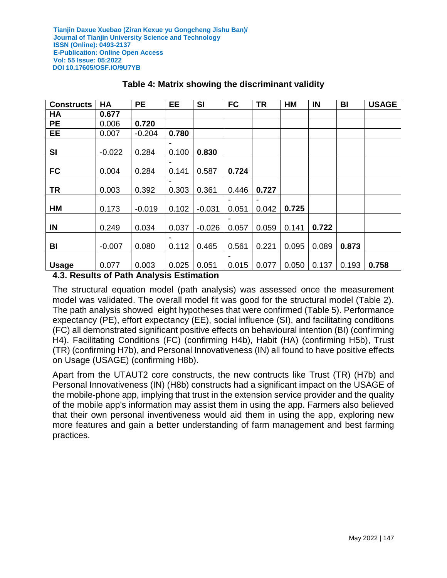| <b>Constructs</b>                               | <b>HA</b>                             | <b>PE</b> | <b>EE</b>                                | <b>SI</b> | <b>FC</b> | <b>TR</b> | <b>HM</b> | IN    | BI    | <b>USAGE</b> |
|-------------------------------------------------|---------------------------------------|-----------|------------------------------------------|-----------|-----------|-----------|-----------|-------|-------|--------------|
| <b>HA</b>                                       | 0.677                                 |           |                                          |           |           |           |           |       |       |              |
| <b>PE</b>                                       | 0.006                                 | 0.720     |                                          |           |           |           |           |       |       |              |
| EE                                              | 0.007                                 | $-0.204$  | 0.780                                    |           |           |           |           |       |       |              |
| SI                                              | $-0.022$                              | 0.284     | 0.100                                    | 0.830     |           |           |           |       |       |              |
| <b>FC</b>                                       | 0.004                                 | 0.284     | 0.141                                    | 0.587     | 0.724     |           |           |       |       |              |
| <b>TR</b>                                       | 0.003                                 | 0.392     | 0.303                                    | 0.361     | 0.446     | 0.727     |           |       |       |              |
| HM                                              | 0.173                                 | $-0.019$  | 0.102                                    | $-0.031$  | 0.051     | 0.042     | 0.725     |       |       |              |
| IN                                              | 0.249                                 | 0.034     | 0.037                                    | $-0.026$  | 0.057     | 0.059     | 0.141     | 0.722 |       |              |
| BI                                              | $-0.007$                              | 0.080     | 0.112                                    | 0.465     | 0.561     | 0.221     | 0.095     | 0.089 | 0.873 |              |
| <b>Usage</b><br>$\overline{a}$ $\overline{b}$ . | 0.077<br>المتحامل والمحالف والمستحدات | 0.003     | 0.025<br>$\mathbf{1}$ . For $\mathbf{1}$ | 0.051     | 0.015     | 0.077     | 0.050     | 0.137 | 0.193 | 0.758        |

## **Table 4: Matrix showing the discriminant validity**

**4.3. Results of Path Analysis Estimation**

The structural equation model (path analysis) was assessed once the measurement model was validated. The overall model fit was good for the structural model (Table 2). The path analysis showed eight hypotheses that were confirmed (Table 5). Performance expectancy (PE), effort expectancy (EE), social influence (SI), and facilitating conditions (FC) all demonstrated significant positive effects on behavioural intention (BI) (confirming H4). Facilitating Conditions (FC) (confirming H4b), Habit (HA) (confirming H5b), Trust (TR) (confirming H7b), and Personal Innovativeness (IN) all found to have positive effects on Usage (USAGE) (confirming H8b).

Apart from the UTAUT2 core constructs, the new contructs like Trust (TR) (H7b) and Personal Innovativeness (IN) (H8b) constructs had a significant impact on the USAGE of the mobile-phone app, implying that trust in the extension service provider and the quality of the mobile app's information may assist them in using the app. Farmers also believed that their own personal inventiveness would aid them in using the app, exploring new more features and gain a better understanding of farm management and best farming practices.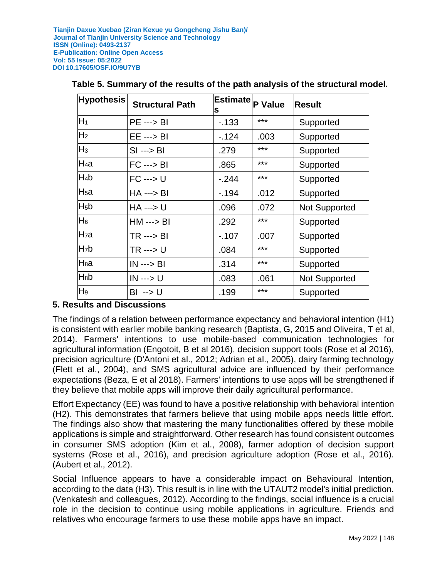| <b>Hypothesis</b> | <b>Structural Path</b>  | Estimate <sub>P Value</sub><br>s |       | <b>Result</b>        |
|-------------------|-------------------------|----------------------------------|-------|----------------------|
| $H_1$             | <b>PE ---&gt; BI</b>    | $-133$                           | ***   | Supported            |
| H <sub>2</sub>    | $EE \longrightarrow BI$ | $-124$                           | .003  | Supported            |
| $H_3$             | $SI \longrightarrow BI$ | .279                             | ***   | Supported            |
| $H_4a$            | $FC \longrightarrow BI$ | .865                             | $***$ | Supported            |
| $H_4b$            | $FC \longrightarrow U$  | $-.244$                          | ***   | Supported            |
| H <sub>5</sub> a  | $HA \rightarrow BI$     | $-194$                           | .012  | Supported            |
| $H_5b$            | <b>HA ---&gt; U</b>     | .096                             | .072  | <b>Not Supported</b> |
| $H_6$             | <b>HM ---&gt; BI</b>    | .292                             | $***$ | Supported            |
| H <sub>7</sub> a  | TR ---> BI              | $-107$                           | .007  | Supported            |
| H <sub>7</sub> b  | TR ---> U               | .084                             | ***   | Supported            |
| H <sub>8</sub> a  | $IN \rightarrow BI$     | .314                             | ***   | Supported            |
| H <sub>8</sub> b  | <b>IN ---&gt; U</b>     | .083                             | .061  | <b>Not Supported</b> |
| H <sub>9</sub>    | BI --> U                | .199                             | $***$ | Supported            |

## **Table 5. Summary of the results of the path analysis of the structural model.**

## **5. Results and Discussions**

The findings of a relation between performance expectancy and behavioral intention (H1) is consistent with earlier mobile banking research (Baptista, G, 2015 and Oliveira, T et al, 2014). Farmers' intentions to use mobile-based communication technologies for agricultural information (Engotoit, B et al 2016), decision support tools (Rose et al 2016), precision agriculture (D'Antoni et al., 2012; Adrian et al., 2005), dairy farming technology (Flett et al., 2004), and SMS agricultural advice are influenced by their performance expectations (Beza, E et al 2018). Farmers' intentions to use apps will be strengthened if they believe that mobile apps will improve their daily agricultural performance.

Effort Expectancy (EE) was found to have a positive relationship with behavioral intention (H2). This demonstrates that farmers believe that using mobile apps needs little effort. The findings also show that mastering the many functionalities offered by these mobile applications is simple and straightforward. Other research has found consistent outcomes in consumer SMS adoption (Kim et al., 2008), farmer adoption of decision support systems (Rose et al., 2016), and precision agriculture adoption (Rose et al., 2016). (Aubert et al., 2012).

Social Influence appears to have a considerable impact on Behavioural Intention, according to the data (H3). This result is in line with the UTAUT2 model's initial prediction. (Venkatesh and colleagues, 2012). According to the findings, social influence is a crucial role in the decision to continue using mobile applications in agriculture. Friends and relatives who encourage farmers to use these mobile apps have an impact.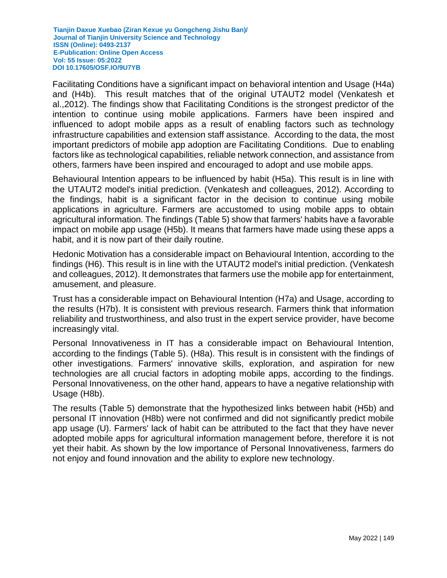Facilitating Conditions have a significant impact on behavioral intention and Usage (H4a) and (H4b). This result matches that of the original UTAUT2 model (Venkatesh et al.,2012). The findings show that Facilitating Conditions is the strongest predictor of the intention to continue using mobile applications. Farmers have been inspired and influenced to adopt mobile apps as a result of enabling factors such as technology infrastructure capabilities and extension staff assistance. According to the data, the most important predictors of mobile app adoption are Facilitating Conditions. Due to enabling factors like as technological capabilities, reliable network connection, and assistance from others, farmers have been inspired and encouraged to adopt and use mobile apps.

Behavioural Intention appears to be influenced by habit (H5a). This result is in line with the UTAUT2 model's initial prediction. (Venkatesh and colleagues, 2012). According to the findings, habit is a significant factor in the decision to continue using mobile applications in agriculture. Farmers are accustomed to using mobile apps to obtain agricultural information. The findings (Table 5) show that farmers' habits have a favorable impact on mobile app usage (H5b). It means that farmers have made using these apps a habit, and it is now part of their daily routine.

Hedonic Motivation has a considerable impact on Behavioural Intention, according to the findings (H6). This result is in line with the UTAUT2 model's initial prediction. (Venkatesh and colleagues, 2012). It demonstrates that farmers use the mobile app for entertainment, amusement, and pleasure.

Trust has a considerable impact on Behavioural Intention (H7a) and Usage, according to the results (H7b). It is consistent with previous research. Farmers think that information reliability and trustworthiness, and also trust in the expert service provider, have become increasingly vital.

Personal Innovativeness in IT has a considerable impact on Behavioural Intention, according to the findings (Table 5). (H8a). This result is in consistent with the findings of other investigations. Farmers' innovative skills, exploration, and aspiration for new technologies are all crucial factors in adopting mobile apps, according to the findings. Personal Innovativeness, on the other hand, appears to have a negative relationship with Usage (H8b).

The results (Table 5) demonstrate that the hypothesized links between habit (H5b) and personal IT innovation (H8b) were not confirmed and did not significantly predict mobile app usage (U). Farmers' lack of habit can be attributed to the fact that they have never adopted mobile apps for agricultural information management before, therefore it is not yet their habit. As shown by the low importance of Personal Innovativeness, farmers do not enjoy and found innovation and the ability to explore new technology.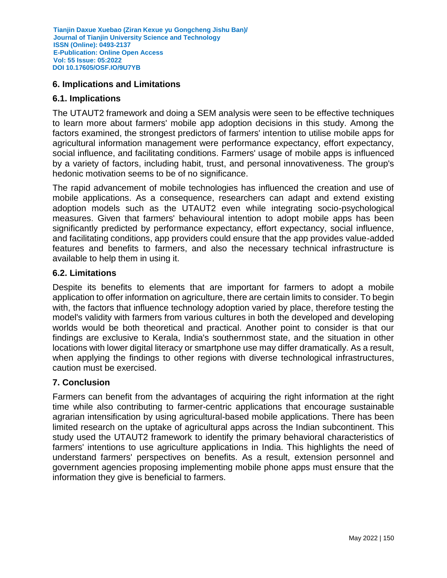## **6. Implications and Limitations**

## **6.1. Implications**

The UTAUT2 framework and doing a SEM analysis were seen to be effective techniques to learn more about farmers' mobile app adoption decisions in this study. Among the factors examined, the strongest predictors of farmers' intention to utilise mobile apps for agricultural information management were performance expectancy, effort expectancy, social influence, and facilitating conditions. Farmers' usage of mobile apps is influenced by a variety of factors, including habit, trust, and personal innovativeness. The group's hedonic motivation seems to be of no significance.

The rapid advancement of mobile technologies has influenced the creation and use of mobile applications. As a consequence, researchers can adapt and extend existing adoption models such as the UTAUT2 even while integrating socio-psychological measures. Given that farmers' behavioural intention to adopt mobile apps has been significantly predicted by performance expectancy, effort expectancy, social influence, and facilitating conditions, app providers could ensure that the app provides value-added features and benefits to farmers, and also the necessary technical infrastructure is available to help them in using it.

### **6.2. Limitations**

Despite its benefits to elements that are important for farmers to adopt a mobile application to offer information on agriculture, there are certain limits to consider. To begin with, the factors that influence technology adoption varied by place, therefore testing the model's validity with farmers from various cultures in both the developed and developing worlds would be both theoretical and practical. Another point to consider is that our findings are exclusive to Kerala, India's southernmost state, and the situation in other locations with lower digital literacy or smartphone use may differ dramatically. As a result, when applying the findings to other regions with diverse technological infrastructures, caution must be exercised.

### **7. Conclusion**

Farmers can benefit from the advantages of acquiring the right information at the right time while also contributing to farmer-centric applications that encourage sustainable agrarian intensification by using agricultural-based mobile applications. There has been limited research on the uptake of agricultural apps across the Indian subcontinent. This study used the UTAUT2 framework to identify the primary behavioral characteristics of farmers' intentions to use agriculture applications in India. This highlights the need of understand farmers' perspectives on benefits. As a result, extension personnel and government agencies proposing implementing mobile phone apps must ensure that the information they give is beneficial to farmers.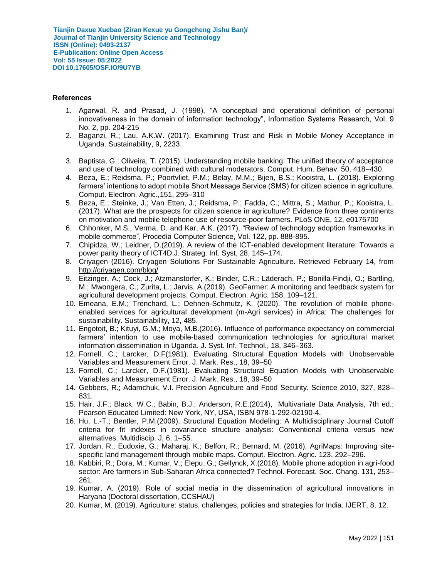#### **References**

- 1. Agarwal, R. and Prasad, J. (1998), "A conceptual and operational definition of personal innovativeness in the domain of information technology", Information Systems Research, Vol. 9 No. 2, pp. 204-215
- 2. Baganzi, R.; Lau, A.K.W. (2017). Examining Trust and Risk in Mobile Money Acceptance in Uganda. Sustainability, 9, 2233
- 3. Baptista, G.; Oliveira, T. (2015). Understanding mobile banking: The unified theory of acceptance and use of technology combined with cultural moderators. Comput. Hum. Behav. 50, 418–430.
- 4. Beza, E.; Reidsma, P.; Poortvliet, P.M.; Belay, M.M.; Bijen, B.S.; Kooistra, L. (2018). Exploring farmers' intentions to adopt mobile Short Message Service (SMS) for citizen science in agriculture. Comput. Electron. Agric.,151, 295–310
- 5. Beza, E.; Steinke, J.; Van Etten, J.; Reidsma, P.; Fadda, C.; Mittra, S.; Mathur, P.; Kooistra, L. (2017). What are the prospects for citizen science in agriculture? Evidence from three continents on motivation and mobile telephone use of resource-poor farmers. PLoS ONE, 12, e0175700
- 6. Chhonker, M.S., Verma, D. and Kar, A.K. (2017), "Review of technology adoption frameworks in mobile commerce", Procedia Computer Science, Vol. 122, pp. 888-895.
- 7. Chipidza, W.; Leidner, D.(2019). A review of the ICT-enabled development literature: Towards a power parity theory of ICT4D.J. Strateg. Inf. Syst, 28, 145–174.
- 8. Criyagen (2016). Criyagen Solutions For Sustainable Agriculture. Retrieved February 14, from <http://criyagen.com/blog/>
- 9. Eitzinger, A.; Cock, J.; Atzmanstorfer, K.; Binder, C.R.; Läderach, P.; Bonilla-Findji, O.; Bartling, M.; Mwongera, C.; Zurita, L.; Jarvis, A.(2019). GeoFarmer: A monitoring and feedback system for agricultural development projects. Comput. Electron. Agric, 158, 109–121.
- 10. Emeana, E.M.; Trenchard, L.; Dehnen-Schmutz, K. (2020). The revolution of mobile phoneenabled services for agricultural development (m-Agri services) in Africa: The challenges for sustainability. Sustainability, 12, 485.
- 11. Engotoit, B.; Kituyi, G.M.; Moya, M.B.(2016). Influence of performance expectancy on commercial farmers' intention to use mobile-based communication technologies for agricultural market information dissemination in Uganda. J. Syst. Inf. Technol., 18, 346–363.
- 12. Fornell, C.; Larcker, D.F(1981). Evaluating Structural Equation Models with Unobservable Variables and Measurement Error. J. Mark. Res., 18, 39–50
- 13. Fornell, C.; Larcker, D.F.(1981). Evaluating Structural Equation Models with Unobservable Variables and Measurement Error. J. Mark. Res., 18, 39–50
- 14. Gebbers, R.; Adamchuk, V.I. Precision Agriculture and Food Security. Science 2010, 327, 828– 831.
- 15. Hair, J.F.; Black, W.C.; Babin, B.J.; Anderson, R.E.(2014), Multivariate Data Analysis, 7th ed.; Pearson Educated Limited: New York, NY, USA, ISBN 978-1-292-02190-4.
- 16. Hu, L.-T.; Bentler, P.M.(2009), Structural Equation Modeling: A Multidisciplinary Journal Cutoff criteria for fit indexes in covariance structure analysis: Conventional criteria versus new alternatives. Multidiscip. J, 6, 1–55.
- 17. Jordan, R.; Eudoxie, G.; Maharaj, K.; Belfon, R.; Bernard, M. (2016), AgriMaps: Improving sitespecific land management through mobile maps. Comput. Electron. Agric. 123, 292–296.
- 18. Kabbiri, R.; Dora, M.; Kumar, V.; Elepu, G.; Gellynck, X.(2018). Mobile phone adoption in agri-food sector: Are farmers in Sub-Saharan Africa connected? Technol. Forecast. Soc. Chang. 131, 253– 261.
- 19. Kumar, A. (2019). Role of social media in the dissemination of agricultural innovations in Haryana (Doctoral dissertation, CCSHAU)
- 20. Kumar, M. (2019). Agriculture: status, challenges, policies and strategies for India. IJERT, 8, 12.